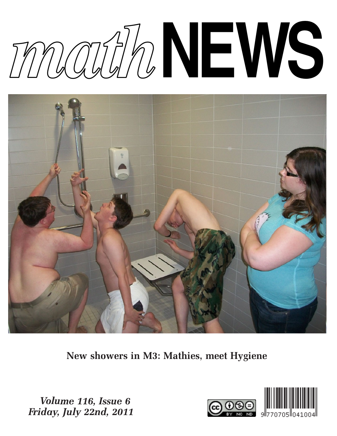# *math***NEWS**



New showers in M3: Mathies, meet Hygiene

Volume 116, Issue 6 Friday, July 22nd, 2011

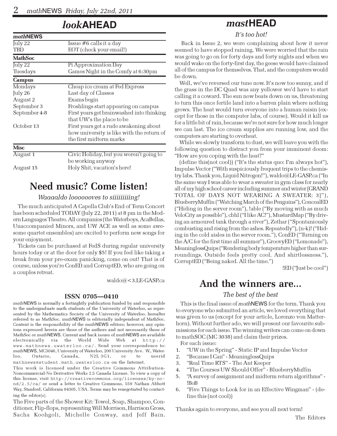## look**AHEAD**

| mathNEWS       |                                                                        |
|----------------|------------------------------------------------------------------------|
| July 22        | Issue #6 calls it a day                                                |
| TBD            | EOT (check your email!)                                                |
| <b>MathSoc</b> |                                                                        |
| July 22        | Pi Approximation Day                                                   |
| Tuesdays       | Games Night in the Comfy at 6:30pm                                     |
| <b>Campus</b>  |                                                                        |
| Mondays        | Cheap ice cream at Fed Express                                         |
| July 26        | Last day of Classes                                                    |
| August 2       | Exams begin                                                            |
| September 3    | Froshlings start appearing on campus                                   |
| September 4-8  | First years get brainwashed into thinking<br>that UW's the place to be |
| October 13     | First years get a rude awakening about                                 |
|                | how university is like with the return of                              |
|                | the first midterm marks                                                |
| <b>Misc</b>    |                                                                        |
| August 1       | Civic Holiday, but you weren't going to<br>be working anyway           |
| August 15      | Holy Shit, vacation's here!                                            |

# Need music? Come listen!

#### Waaaaldo looooooves to siiiiiiiiing!

The much anticipated A Capella Club's End of Term Concert has been scheduled TODAY (July 22, 2011) at 8 pm in the Modern Languages Theatre. All companies (the Waterboys, AcaBellas, Unaccompanied Minors, and UW ACE as well as some awesome quartet ensembles) are excited to perform new songs for your enjoyment.

Tickets can be purchased at FedS during regular university hours today or at the door for only \$5! If you feel like taking a break from your pre-exam panicking, come on out! That is of course, unless you're ConED and CorruptED, who are going on a couples retreat.

waldo@<3.LE-GASP.ca

#### ISSN 0705—0410

mathNEWS is normally a fortnightly publication funded by and responsible to the undergraduate math students of the University of Waterloo, as represented by the Mathematics Society of the University of Waterloo, hereafter referred to as MathSoc. mathNEWS is editorially independent of MathSoc. Content is the responsibility of the mathNEWS editors; however, any opinions expressed herein are those of the authors and not necessarily those of MathSoc or mathNEWS. Current and back issues of mathNEWS are available electronically via the World Wide Web at http:// www.mathnews.uwaterloo.ca/. Send your correspondence to: mathNEWS, MC3046, University of Waterloo, 200 University Ave. W., Waterloo, Ontario, Canada, N2L 3G1, or to userid mathnews@student.math.uwaterloo.ca on the Internet.

This work is licensed under the Creative Commons Attribution-Noncommercial-No Derivative Works 2.5 Canada License. To view a copy of this license, visit http://creativecommons.org/licenses/by-ncnd/2.5/ca/ or send a letter to Creative Commons, 559 Nathan Abbott Way, Stanford, California 94305, USA. Terms may be renegotiated by contacting the editor(s).

The Five parts of the Shower Kit: Towel, Soap, Shampoo, Conditioner, Flip-flops, representing Will Morrison, Harrison Gross, Sacha Koohgoli, Michelle Conway, and Jeff Bain.

## mast**HEAD**

It's too hot!

 Back in Issue 2, we were complaining about how it never seemed to have stopped raining. We were worried that the rain was going to go on for forty days and forty nights and when we would wake on the forty-first day, the geese would have claimed all of the campus for themselves. That, and the computers would be down.

Well, we've reversed our tune now. It's now too sunny, and if the grass in the DC Quad was any yellower we'd have to start calling it a coward. The sun now beats down on us, threatening to turn this once fertile land into a barren plain where nothing grows. The heat would turn everyone into a human raisin (except for those in the computer labs, of course). Would it kill us for a little bit of rain, because we're not sure for how much longer we can last. The ice cream supplies are running low, and the computers are starting to overheat.

While we slowly transform to dust, we will leave you with the following question to distract you from your imminent doom: "How are you coping with the heat?"

(define this(not cool)) ("It's the status quo: I'm always hot"), Impulse Vector ("With suspiciously frequent trips to the chemistry labs. Thank you, Liquid Nitrogen!"), waldo@LE-GASP.ca ("In the same way I was able to wear a sweater in gym class for nearly all of my high school career including summer and winter [GRAND TOTAL OF DAYS NOT WEARING A SWEATER: 3]"), BlueberryMuffin ("Watching March of the Penguins"), ConcealED ("Hiding in the server room"), !able ("By moving with as much VeloCity as possible"), cbhl ("I like AC!"), MustardMap ("By driving an armoured tank through a river"), Zethar ("Spontaniously combusting and rising from the ashes. Repeatedly"), (n-k)! ("Hiding in the cold aisles in the server room."), ConED ("Turning on the A/C for the first time all summer"), GroovyED ("Lemonade"), MeaninglessQuips ("Rendering body temperature higher than surroundings. Outside feels pretty cool. And shirtlessness."), CorruptED ("Being naked. All the time.")

!ED ("Just be cool")

## And the winners are...

#### The best of the best

This is the final issue of *math* NEWS for the term. Thank you to everyone who submitted an article, we loved everything that was given to us (except for your article, Lorenzo von Matterhorn). Without further ado, we will present our favourite submissions for each issue. The winning writers can come on down to mathSOC (MC 3038) and claim their prizes.

For each issue:

- 1. "UW in the Spring" Static IP and Impulse Vector
- 2. "Because I Can" MeaninglessQuips
- 3. "Real Time RTS" The Ant Keeper
- 4. "The Courses UW Should Offer" BlueberryMuffin
- 5. "A survey of assignment and midterm return algorithms" !BoB
- 6. "Five Things to Look for in an Effective Wingman" (define this (not cool))

Thanks again to everyone, and see you all next term!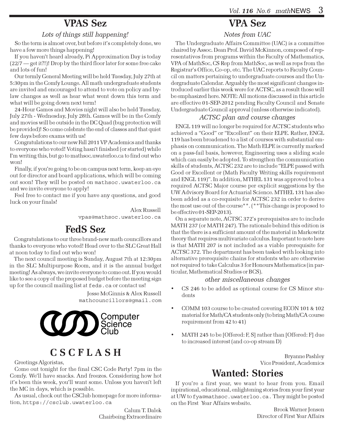# VPAS Sez

#### Lots of things still happening!

So the term is almost over, but before it's completely done, we have a few more things happening!

If you haven't heard already, Pi Approximation Day is today (22/7 — get it?!)! Drop by the third floor later for some free cake and lots of fun!

Our termly General Meeting will be held Tuesday, July 27th at 5:30pm in the Comfy Lounge. All math undergraduate students are invited and encouraged to attend to vote on policy and bylaw changes as well as hear what went down this term and what will be going down next term!

24-Hour Games and Movies night will also be held Tuesday, July 27th - Wednesday, July 28th. Games will be in the Comfy and movies will be outside in the DC Quad (bug protection will be provided)! So come celebrate the end of classes and that quiet few days before exams with us!

Congratulations to our new Fall 2011 VP Academics and thanks to everyone who voted! Voting hasn't finished (or started) while I'm writing this, but go to mathsoc.uwaterloo.ca to find out who won!

Finally, if you're going to be on campus next term, keep an eye out for director and board applications, which will be coming out soon! They will be posted on mathsoc.uwaterloo.ca and we invite everyone to apply!

Feel free to contact me if you have any questions, and good luck on your finals!

> Alex Russell vpas@mathsoc.uwaterloo.ca

## FedS Sez

Congratulations to our three brand-new math councillors and thanks to everyone who voted! Head over to the SLC Great Hall at noon today to find out who won!

The next council meeting is Sunday, August 7th at 12:30pm in the SLC Multipurpose Room, and it is the annual budget meeting! As always, we invite everyone to come out. If you would like to see a copy of the proposed budget before the meeting sign up for the council mailing list at feds.ca or contact us!

> Jesse McGinnis & Alex Russell mathcouncillors@gmail.com



# C S C F L A S H

Greetings Algoristas,

Come out tonight for the final CSC Code Party! 7pm in the Comfy. We'll have snacks. And freezes. Considering how hot it's been this week, you'll want some. Unless you haven't left the MC in days, which is possible.

As usual, check out the CSClub homepage for more information, https://csclub.uwaterloo.ca

> Calum T. Dalek Chairbeing Extraordinaire

# VPA Sez

#### Notes from UAC

The Undergraduate Affairs Committee (UAC) is a committee chaired by Assoc. Dean Prof. David McKinnon, composed of representatives from programs within the Faculty of Mathematics, VPA of MathSoc, CS Rep from MathSoc, as well as reps from the Registrar's Office, Co-op, etc. The UAC reports to Faculty Council on matters pertaining to undergraduate courses and the Undergraduate Calendar. Arguably the most significant changes introduced earlier this week were for ACTSC, as a result those will be emphasized here. NOTE: All motions discussed in this article are effective 01-SEP-2012 pending Faculty Council and Senate Undergraduate Council approval (unless otherwise indicated).

#### ACTSC plan and course changes

ENGL 119 will no longer be required for ACTSC students who achieved a "Good" or "Excellent" on their ELPE. Rather, ENGL 119 has been broadened to a list of courses with substantial emphasis on communication. The Math ELPE is currently marked on a pass-fail basis, however, Engineering uses a sliding scale which can easily be adopted. To strengthen the communication skills of students, ACTSC 232 are to include "ELPE passed with Good or Excellent or (Math Faculty Writing skills requirement and ENGL 119)". In addition, MTHEL 131 was approved to be a required ACTSC Major course per explicit suggestions by the UW Advisory Board for Actuarial Science. MTHEL 131 has also been added as a co-requisite for ACTSC 232 in order to derive the most use out of the course\*\*. (\*\*This change is proposed to be effective 01-SEP-2013).

On a separate note, ACTSC 372's prerequisites are to include MATH 237 (or MATH 247). The rationale behind this edition is that the there is a sufficient amount of the material in Markowitz theory that requires multivariate calculus. Important to note here is that MATH 207 is not included as a viable prerequisite for ACTSC 372. The department has been tasked with looking into alternative prerequisite chains for students who are otherwise not required to take Calculus 3 for Honours Mathematics (in particular, Mathematical Studies or BCS).

#### other miscellaneous changes

- CS 246 to be added as optional course for CS Minor students
- COMM 103 course to be created covering ECON 101 & 102 material for Math/CA students only (to bring Math/CA course requirement from 42 to 41)
- MATH 245 to be [Offered: F, S] rather than [Offered: F] due to increased interest (and co-op stream D)

Bryanne Pashley Vice President, Academics

# Wanted: Stories

If you're a first year, we want to hear from you. Email inpirational, educational, enlightening stories from your first year at UW to fya@mathsoc.uwaterloo.ca. They might be posted on the First Year Affairs website.

> Brook Warner Jensen Director of First Year Affairs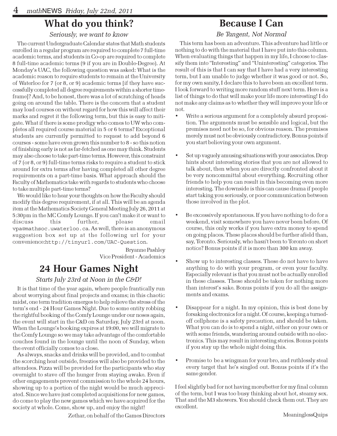# What do you think?

#### Seriously, we want to know

The current Undergraduate Calendar states that Math students enrolled in a regular program are required to complete 7 full-time academic terms, and students in Co-op are required to complete 8 full-time academic terms (9 if you are in Double-Degree). At Monday's UAC, the following question was asked: What is the academic reason to require students to remain at the University of Waterloo for 7 (or 8, or 9) academic terms [if they have successfully completed all degree requirements within a shorter timeframe]? And, to be honest, there was a lot of scratching of heads going on around the table. There is the concern that a student may load courses on without regard for how this will affect their marks and regret it the following term, but this is easy to mitigate. What if there is some prodigy who comes to UW who completes all required course material in 5 or 6 terms? Exceptional students are currently permitted to request to add beyond 6 courses - some have even grown this number to 8 - so this notion of finishing early is not as far-fetched as one may think. Students may also choose to take part-time terms. However, this constraint of 7 (or 8, or 9) full-time terms risks to require a student to stick around for extra terms after having completed all other degree requirements on a part-time basis. What approach should the Faculty of Mathematics take with regards to students who choose to take multiple part-time terms?

We would like to hear your thoughts on how the Faculty should modify this degree requirement, if at all. This will be an agenda item at the Mathematics Society General Meeting July 26, 2011 at 5:30pm in the MC Comfy Lounge. If you can't make it or want to discuss this further, please email vpa@mathsoc.uwaterloo.ca. As well, there is an anonymous suggestion box set up at the following url for your convenience:http://tinyurl.com/UAC-Question.

> Bryanne Pashley Vice President - Academics

# 24 Hour Games Night

#### Starts July 23rd at Noon in the C&D!

It is that time of the year again, where people frantically run about worrying about final projects and exams; in this chaotic midst, one term tradition emerges to help relieve the stress of the term's end - 24 Hour Games Night. Due to some entity robbing the rightful booking of the Comfy Lounge under our noses again, the event will start in the C&D on Saturday, July 23rd at noon. When the Lounge's booking expires at 19:00, we will migrate to the Comfy Lounge so we may take advantage of the comfortable couches found in the lounge until the noon of Sunday, when the event officially comes to a close.

As always, snacks and drinks will be provided, and to combat the scorching heat outside, freezies will also be provided to the attendees. Pizza will be provided for the participants who stay overnight to stave off the hunger from staying awake. Even if other engagements prevent commission to the whole 24 hours, showing up to a portion of the night would be much appreciated. Since we have just completed acquisitions for new games, do come to play the new games which we have acquired for the society at whole. Come, show up, and enjoy the night!

Zethar, on behalf of the Games Directors

# Because I Can

#### Be Tangent, Not Normal

This term has been an adventure. This adventure had little or nothing to do with the material that I have put into this column. When evaluating things that happen in my life, I choose to classify them into "Interesting" and "Uninteresting" categories. The result of this is that I can say that I have had a very interesting term, but I am unable to judge whether it was good or not. So, for my own sanity, I declare this to have been an excellent term. I look forward to writing more random stuff next term. Here is a list of things to do that will make your life more interesting! I do not make any claims as to whether they will improve your life or not.

- Write a serious argument for a completely absurd proposition. The arguments must be sensible and logical, but the premises need not be so, for obvious reason. The premises merely must not be obviously contradictory. Bonus points if you start believing your own argument.
- Set up vaguely amusing situations with your associates. Drop hints about interesting stories that you are not allowed to talk about, then when you are directly confronted about it be very noncommittal about everything. Recruiting other friends to help you can result in this becoming even more interesting. The downside is this can cause drama if people start taking you seriously, or poor communication between those involved in the plot.
- Be excessively spontaneous. If you have nothing to do for a weekend, visit somewhere you have never been before. Of course, this only works if you have extra money to spend on going places. These places should be further afield than, say, Toronto. Seriously, who hasn't been to Toronto on short notice? Bonus points if it is more than 300 km away.
- Show up to interesting classes. These do not have to have anything to do with your program, or even your faculty. Especially relevant is that you must not be actually enrolled in these classes. These should be taken for nothing more than interest's sake. Bonus points if you do all the assignments and exams.
- Disappear for a night. In my opinion, this is best done by forsaking electronics for a night. Of course, keeping a turnedoff cellphone is a safety precaution, and should be taken. What you can do is to spend a night, either on your own or with some friends, wandering around outside with no electronics. This may result in interesting stories. Bonus points if you stay up the whole night doing this.
- Promise to be a wingman for your bro, and ruthlessly steal every target that he's singled out. Bonus points if it's the same gender.

I feel slightly bad for not having more/better for my final column of the term, but I was too busy thinking about hot, steamy sex. That and the M3 showers. You should check them out. They are excellent.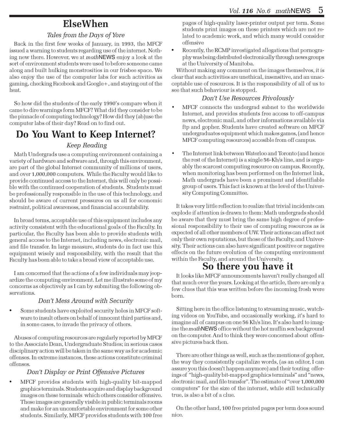## ElseWhen

#### Tales from the Days of Yore

Back in the first few weeks of January, in 1993, the MFCF issued a warning to students regarding use of the internet. Nothing new there. However, we at mathNEWS enjoy a look at the sort of environment students were used to before someone came along and built hulking monstrosities in our frisbee space. We also enjoy the use of the computer labs for such activities as gaming, checking Facebook and Google+, and staying out of the heat.

So how did the students of the early 1990's compare when it came to dire warnings form MFCF? What did they consider to be the pinnacle of computing technology? How did they (ab)use the computer labs of their day? Read on to find out.

# Do You Want to Keep Internet?

#### Keep Reading

Math Undergrads use a computing environment containing a variety of hardware and software and, through this environment, are part of the global Internet community of millions of users, and over 1,000,000 computers. While the Faculty would like to provide continued access to the Internet, this will only be possible with the continued cooperation of students. Students must be professionally responsible in the use of this technology, and should be aware of current pressures on us all for economic restraint, political awareness, and financial accountability.

In broad terms, acceptable use of this equipment includes any activity consistent with the educational goals of the Faculty. In particular, the Faculty has been able to provide students with general access to the Internet, including news, electronic mail, and file transfer. In large measure, students do in fact use this equipment wisely and responsibility, with the result that the Faculty has been able to take a broad view of acceptable use.

I am concerned that the actions of a few individuals may jeopardize the computing environment. Let me illustrate some of my concerns as objectively as I can by submiting the following observations.

#### Don't Mess Around with Security

Some students have exploited security holes in MFCF software to insult others on behalf of innocent third parties and, in some cases, to invade the privacy of others.

Abuses of computing resources are regularly reported by MFCF to the Associate Dean, Undergraduate Studies; in serious cases disciplinary action will be taken in the same way as for academic offenses. In extreme instances, these actions constitute criminal offenses.

#### Don't Display or Print Offensive Pictures

• MFCF provides students with high-quality bit-mapped graphics terminals. Students acquire and display background images on these terminals which others consider offensive. These images are generally visible in public terminals rooms and make for an uncomfortable environment for some other students. Similarly, MFCF provides students with 100 free pages of high-quality laser-printer output per term. Some students print images on these printers which are not related to academic work, and which many would consider offensive

• Recently, the RCMP investigated allegations that pornography was being distributed electronically through news groups at the University of Manitoba.

Without making any comment on the images themselves, it is clear that such activities are unethical, insensitive, and an unacceptable use of resources. It is the responsibility of all of us to see that such behaviour is stopped.

#### Don't Use Resources Frivolously

- MFCF connects the undergrad subnet to the worldwide Internet, and provides students free access to off-campus news, electronic mail, and other informations available via ftp and gopher. Students have created software on MFCF undergraduates equipment which makes games, (and hence MFCF computing resources) accesible from off campus.
- The Internet link between Waterloo and Toronto (and hence the rest of the Internet) is a single 56-Kb/s line, and is arguably the scarcest computing resource on campus. Recently, when monitoring has been performed on the Internet link, Math undergrads have been a prominent and identifiable group of users. This fact is known at the level of the University Computing Committee.

It takes very little reflection to realize that trivial incidents can explode if attention is drawn to them: Math undergrads should be aware that they must bring the same high degree of professional responsibility to their use of computing resources as is expected of all other members of UW. Their actions can affect not only their own reputations, but those of the Faculty, and University. Their actions can also have significant positive or negative effects on the future evolution of the computing environment within the Faculty, and around the University.

## So there you have it

It looks like MFCF announcements haven't really changed all that much over the years. Looking at the article, there are only a few clues that this was written before the incoming frosh were born.

Sitting here in the office listening to streaming music, watching videos on YouTube, and occasionally working, it's hard to imagine all of campus on one 56 Kb/s line. It's also hard to imagine the mathNEWS office without the hot muffin sex background on the computer. And to think they were concerned about offensive pictures back then.

There are other things as well, such as the mentions of gopher, the way they consistently capitalize words, (as an editor, I can assure you this doesn't happen anymore) and their touting offerings of "high-quality bit-mapped graphics terminals" and "news, electronic mail, and file transfer". The estimate of "over 1,000,000 computers" for the size of the internet, while still technically true, is also a bit of a clue.

On the other hand, 100 free printed pages per term does sound nice.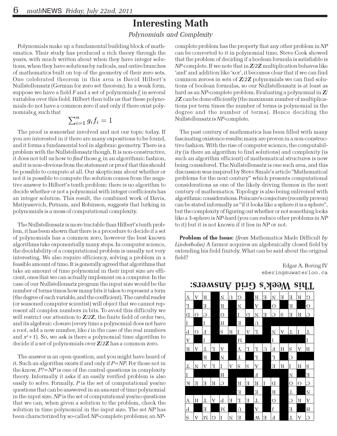# Interesting Math

#### Polynomials and Complexity

Polynomials make up a fundamental building block of mathematics. Their study has produced a rich theory through the years, with much written about when they have integer solutions, when they have solutions by radicals, and entire branches of mathematics built on top of the geometry of their zero sets. One celebrated theorem in this area is David Hilbert's Nullstellensatz (German for zero set theorem). In a weak form, suppose we have a field  $F$  and a set of polynomials  $f_i$  in several edppose we have a next rand a set or porynemials  $j_i$  in several variables over this field. Hilbert then tells us that these polynomials do not have a common zero if and only if there exist polynomials  $g_{\scriptscriptstyle i}$  such that

$$
\sum_{i=1}^{n} g_i f_i = 1
$$

The proof is somewhat involved and not our topic today. If you are interested in it there are many expositions to be found, and it forms a fundamental tool in algebraic geometry. There is a problem with the Nullstellensatz though. It is non-constructive, it does not tell us how to *find* those  $g_{_{\!i}}$  in an algorithmic fashion, and it is non-obvious from the statement or proof that this should be possible to compute at all. Our skepticism about whether or not it is possible to compute the solution comes from the negative answer to Hilbert's tenth problem: there is no algorithm to decide whether or not a polynomial with integer coefficients has an integer solution. This result, the combined work of Davis, Matiyasevich, Putnam, and Robinson, suggests that lurking in polynomials is a mess of computational complexity.

The Nullstellensatz is more tractable than Hilbert's tenth problem, it has been shown that there is a procedure to decide if a set of polynomials has a common zero, however the best known algorithms take exponentially many steps. In computer science, the decidability of a computational problem is usually not very interesting. We also require efficiency, solving a problem in a feasible amount of time. It is generally agreed that algorithms that take an amount of time polynomial in their input size are efficient, ones that we can actually implement on a computer. In the case of our Nullstellensatz program the input size would be the number of terms times how many bits it takes to represent a term (the degree of each variable, and the coefficient). The careful reader (or seasoned computer scientist) will object that we cannot represent all complex numbers in bits. To avoid this difficulty we will restrict our attention to  $Z/2Z$ , the finite field of order two, and its algebraic closure (every time a polynomial does not have a root, add a new number, like  $i$  in the case of the real numbers and  $x^2\!+\!1$ ). So, we ask is there a polynomial time algorithm to decide if a set of polynomials over Z/2Z has a common zero.

The answer is an open question, and you might have heard of it. Such an algorithm exists if and only if  $P=NP$ . For those not in the know,  $P? = NP$  is one of the central questions in complexity theory. Informally it asks if an easily verified problem is also easily to solve. Formally,  $P$  is the set of computational yes/no questions that can be answered in an amount of time polynomial in the input size. NP is the set of computational yes/no questions that we can, when given a solution to the problem, check the solution in time polynomial in the input size. The set NP has been characterized by so-called NP-complete problems; an NP-

complete problem has the property that any other problem in NP can be converted to it in polynomial time. Steve Cook showed that the problem of deciding if a boolean formula is satisfiable is  $NP$ -complete. If we note that in  $\mathbf{Z}/2\mathbf{Z}$  multiplication behaves like 'and' and addition like 'xor', it becomes clear that if we can find common zeroes in sets of  $Z/2Z$  polynomials we can find solutions of boolean formulas, so our Nullstellensatz is at least as hard as an NP-complete problem. Evaluating a polynomial in  $Z/$ 2Z can be done efficiently (the maximum number of multiplications per term times the number of terms is polynomial in the degree and the number of terms). Hence deciding the Nullstellensatz is NP-complete.

The past century of mathematics has been filled with many fascinating existence results; many are proven in a non-constructive fashion. With the rise of computer science, the computability (is there an algorithm to find solutions) and complexity (is such an algorithm efficient) of mathematical structures is now being considered. The Nullstellensatz is one such area, and this discussion was inspired by Steve Smale's article "Mathematical problems for the next century" which presents computational considerations as one of the likely driving themes in the next century of mathematics. Topology is also being enlivened with algorithmic considerations. Poincare's conjecture (recently proven) can be stated informally as "if it looks like a sphere it is a sphere", but the complexity of figuring out whether or not something looks like a 3-sphere is NP-hard (you can reduce other problems in NP to it) but it is not known if it lies in NP or not.

Problem of the Issue: (from Mathematics Made Difficult by Linderholm) A farmer acquires an algebraically closed field by extending his field finitely. What can be said about the original field?

> Edgar A. Bering IV ebering@uwaterloo.ca



#### This Week's Grid Answers: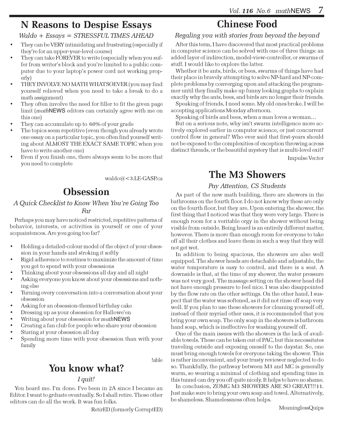# N Reasons to Despise Essays

#### Waldo + Essays = STRESSFUL TIMES AHEAD

- They can be VERY intimidating and frustrating (especially if they're for an upper-year-level course)
- They can take FOREVER to write (especially when you suffer from writer's block and you're limited to a public computer due to your laptop's power cord not working properly)
- THEY INVOLVE NO MATH WHATSOEVER (you may find yourself relieved when you need to take a break to do a math assignment)
- They often involve the need for filler to fit the given page limit (mathNEWS editors can certainly agree with me on this one)
- They can accumulate up to 60% of your grade
- The topics seem repetitive (even though you already wrote one essay on a particular topic, you often find yourself writing about ALMOST THE EXACT SAME TOPIC when you have to write another one)
- Even if you finish one, there always seem to be more that you need to complete

waldo@<3.LE-GASP.ca

# **Obsession**

#### A Quick Checklist to Know When You're Going Too Far

Perhaps you may have noticed restricted, repetitive patterns of behavior, interests, or activities in yourself or one of your acquaintences. Are you going too far?

- Holding a detailed-colour model of the object of your obsession in your hands and stroking it softly
- Rigid adherence to routines to maximize the amount of time you get to spend with your obsessions
- Thinking about your obsessions all day and all night
- Asking everyone you know about your obsessions and nothing else
- Turning every conversation into a conversation about your obsession
- Asking for an obsession-themed birthday cake
- Dressing up as your obsession for Hallowe'en
- Writing about your obsession for mathNEWS
- Creating a fan club for people who share your obsession
- Staring at your obsession all day
- Spending more time with your obsession than with your family

!able

# You know what?

#### I quit!

You heard me. I'm done. I've been in 2A since I became an Editor. I want to grduate eventually. So I shall retire. Those other editors can do all the work. It was fun folks.

RetirED (formerly CorruptED)

# Chinese Food

#### Regaling you with stories from beyond the beyond

After this term, I have discovered that most practical problems in computer science can be solved with one of three things: an added layer of indirection, model-view-controller, or swarms of stuff. I would like to explore the latter.

Whether it be ants, birds, or bees, swarms of things have had their place in bravely attempting to solve NP-hard and NP-complete problems by converging upon and attacking the programmer until they finally make up funny looking graphs to explain exactly why the ants, bees, and birds are no longer their friends.

Speaking of friends, I need some. My old ones broke. I will be accepting applications Monday afternoon.

Speaking of birds and bees, when a man loves a woman…

But on a serious note, why isn't swarm intelligence more actively explored earlier in computer science, or just concurrent control flow in general? Who ever said that first-years should not be exposed to the complexities of exception throwing across distinct threads, or the beautiful mystery that is multi-level exit?

Impulse Vector

## The M3 Showers

#### Pay Attention, CS Students

As part of the new math building, there are showers in the bathrooms on the fourth floor. I do not know why these are only on the fourth floor, but they are. Upon entering the shower, the first thing that I noticed was that they were very large. There is enough room for a veritable orgy in the shower without being visible from outside. Being heard is an entirely different matter, however. There is more than enough room for everyone to take off all their clothes and leave them in such a way that they will not get wet.

In addition to being spacious, the showers are also well equipped. The shower heads are detachable and adjustable, the water temperature is easy to control, and there is a seat. A downside is that, at the time of my shower, the water pressure was not very good. The massage setting on the shower head did not have enough pressure to feel nice. I was also disappointed by the flow rate on the other settings. On the other hand, I suspect that the water was softened, as it did not rinse off soap very well. If you plan to use these showers for cleaning yourself off, instead of their myriad other uses, it is recommended that you bring your own soap. The only soap in the showers is bathroom hand soap, which is ineffective for washing yourself off.

One of the main issues with the showers is the lack of available towels. These can be taken out of PAC, but this necessitates traveling outside and exposing oneself to the daystar. So, one must bring enough towels for everyone taking the shower. This is rather inconvenient, and your trusty reviewer neglected to do so. Thankfully, the pathway between M3 and MC is generally warm, so wearing a minimal of clothing and spending time in this tunnel can dry you off quite nicely. It helps to have no shame.

In conclusion, ZOMG M3 SHOWERS ARE SO GREAT!!!11. Just make sure to bring your own soap and towel. Alternatively, be shameless. Shamelessness often helps.

MeaninglessQuips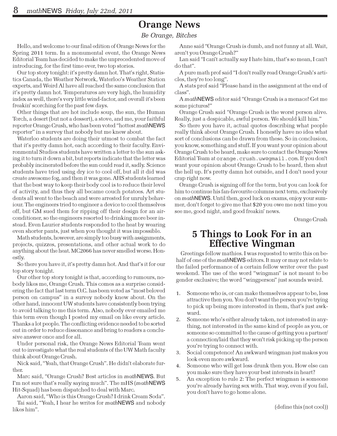## Orange News

#### Be Orange, Bitches

Hello, and welcome to our final edition of Orange News for the Spring 2011 term. In a monumental event, the Orange News Editorial Team has decided to make the unprecedented move of introducing, for the first time ever, two top stories.

Our top story tonight: it's pretty damn hot. That's right, Statistics Canada, the Weather Network, Waterloo's Weather Station experts, and Weird Al have all reached the same conclusion that it's pretty damn hot. Temperatures are very high, the humidity index as well, there's very little wind-factor, and overall it's been freakin' scorching for the past few days.

Other things that are hot include soup, the sun, the Human Torch, a desert (but not a dessert), a stove, and me, your faithful reporter Orange Crush, who has been voted "hottest mathNEWS reporter" in a survey that nobody but me knew about.

Waterloo students are doing their utmost to combat the fact that it's pretty damn hot, each according to their faculty. Environmental Studies students have written a letter to the sun asking it to turn it down a bit, but reports indicate that the letter was probably incinerated before the sun could read it, sadly. Science students have tried using dry ice to cool off, but all it did was create awesome fog, and then it was gone. AHS students learned that the best way to keep their body cool is to reduce their level of activity, and thus they all became couch potatoes. Art students all went to the beach and were arrested for unruly behaviour. The engineers tried to engineer a device to cool themselves off, but GM sued them for ripping off their design for an airconditioner, so the engineers resorted to drinking more beer instead. Even Laurier students responded to the heat by wearing even shorter pants, just when you thought it was impossible.

Math students, however, are simply too busy with assignments, projects, quizzes, presentations, and other actual work to do anything about the heat. MC2066 has never smelled worse. Honestly.

So there you have it, it's pretty damn hot. And that's it for our top story tonight.

Our other top story tonight is that, according to rumours, nobody likes me, Orange Crush. This comes as a surprise considering the fact that last term O.C. has been voted as "most beloved person on campus" in a survey nobody knew about. On the other hand, innocent UW students have consistently been trying to avoid talking to me this term. Also, nobody ever emailed me this term even though I posted my email on like every article. Thanks a lot people. The conflicting evidence needed to be sorted out in order to reduce dissonance and bring to readers a conclusive answer once and for all.

Under personal risk, the Orange News Editorial Team went out to investigate what the real students of the UW Math faculty think about Orange Crush.

Nick said, "Yeah, that Orange Crush". He didn't elaborate further.

Marc said, "Orange Crush? Best articles in mathNEWS. But I'm not sure that's really saying much". The mHS (mathNEWS Hit-Squad) has been dispatched to deal with Marc.

Aaron said, "Who is this Orange Crush? I drink Cream Soda". Tai said, "Yeah, I hear he writes for mathNEWS and nobody likes him".

Anne said "Orange Crush is dumb, and not funny at all. Wait, aren't you Orange Crush?"

Lan said "I can't actually say I hate him, that's so mean, I can't do that".

A pure math prof said "I don't really read Orange Crush's articles, they're too long".

A stats prof said "Please hand in the assignment at the end of class".

A mathNEWS editor said "Orange Crush is a menace! Get me some pictures!"

Orange Crush said "Orange Crush is the worst person alive. Really, just a despicable, awful person. We should kill him."

So there you have it, actual quotes describing what people really think about Orange Crush. I honestly have no idea what sort of conclusions can be drawn from these. So in conclusion, you know, something and stuff. If you want your opinion about Orange Crush to be heard, make sure to contact the Orange News Editorial Team at orange.crush.uw@gmail.com. If you don't want your opinion about Orange Crush to be heard, then shut the hell up. It's pretty damn hot outside, and I don't need your crap right now.

Orange Crush is signing off for the term, but you can look for him to continue his fan-favourite columns next term, exclusively on mathNEWS. Until then, good luck on exams, enjoy your summer, don't forget to give me that \$20 you owe me next time you see me, good night, and good freakin' news.

Orange Crush

## 5 Things to Look For in an Effective Wingman

Greetings fellow mathies. I was requested to write this on behalf of one of the mathNEWS editors. It may or may not relate to the failed performance of a certain fellow writer over the past weekend. The use of the word "wingman" is not meant to be gender exclusive; the word "wingperson" just sounds weird.

- 1. Someone who is, or can make themselves appear to be, less attractive then you. You don't want the person you're trying to pick up being more interested in them, that's just awkward.
- 2. Someone who's either already taken, not interested in anything, not interested in the same kind of people as you, or someone so committed to the cause of getting you a partner/ a connection/laid that they won't risk picking up the person you're trying to connect with.
- 3. Social competence! An awkward wingman just makes you look even more awkward.
- 4. Someone who will get less drunk then you. How else can you make sure they have your best interests in heart?
- 5. An exception to rule 2: The perfect wingman is someone you're already having sex with. That way, even if you fail, you don't have to go home alone.

(define this (not cool))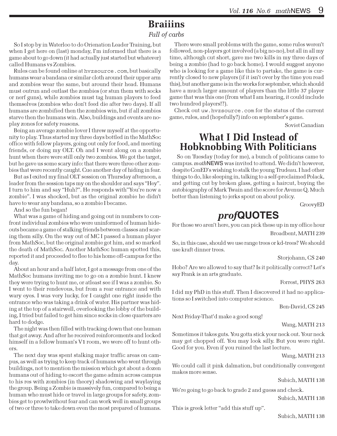# **Braiiins**

#### Full of carbs

So I stop by in Waterloo to do Orienation Leader Training, but when I get here on (last) monday, I'm informed that there is a game about to go down (it had actually just started but whatever) called Humans vs Zombies.

Rules can be found online at hvzsource.com, but basically humans wear a bandana or similar cloth around their upper arm and zombies wear the same, but around their head. Humans must outrun and outlast the zombies (or stun them with socks or nerf guns), while zombies must tag human players to feed themselves (zombies who don't feed die after two days). If all humans are zombified then the zombies win, but if all zombies starve then the humans win. Also, buildings and events are noplay zones for safety reasons.

Being an average zombie lover I threw myself at the opportunity to play. Thus started my three days bottled in the MathSoc office with fellow players, going out only for food, and meeting friends, or doing my OLT. Oh and I went along on a zombie hunt when there were still only two zombies. We got the target, but he gave us some scary info: that there were three other zombies that were recently caught. Cue another day of hiding in fear.

But as I exited my final OLT session on Thursday afternoon, a leader from the session taps my on the shoulder and says "Hey". I turn to him and say "Huh?". He responds with"You're now a zombie". I was shocked, but as the original zombie he didn't have to wear any bandana, so a zombie I became.

And so the fun began!

What was a game of hiding and going out in numbers to confront individual zombies who were uninformed of human hideouts became a game of stalking friends between classes and scaring them silly. On the way out of MC I passed a human player from MathSoc, but the original zombie got him, and so marked the death of MathSoc. Another MathSoc human spotted this, reported it and proceeded to flee to his home off-campus for the day.

About an hour and a half later, I got a message from one of the MathSoc humans inviting me to go on a zombie hunt. I knew they were trying to hunt me, or atleast see if I was a zombie. So I went to their rendevous, but from a rear entrance and with wary eyes. I was very lucky, for I caught one right inside the entrance who was taking a drink of water. His partner was hiding at the top of a stairwell, overlooking the lobby of the building, I tried but failed to get him since socks in close quarters are hard to dodge.

The night was then filled with tracking down that one human that got away. And after he received reinforcements and locked himself in a fellow human's V1 room, we were off to hunt others.

The next day was spent stalking major traffic areas on campus, as well as trying to keep track of humans who went through buildings, not to mention the mission which got about a dozen humans out of hiding to escort the game admin across campus to his res with zombies (in theory) shadowing and waylaying the group. Being a Zombie is massively fun, compared to being a human who must hide or travel in large groups for safety, zombies get to prowlwithout fear and can work well in small groups of two or three to take down even the most prepared of humans.

There were small problems with the game, some rules weren't followed, non-players got involved (a big no-no), but all in all my time, although cut short, gave me two kills in my three days of being a zombie (had to go back home). I would suggest anyone who is looking for a game like this to partake, the game is currently closed to new players (if it isn't over by the time you read this), but another game is in the works for september, which should have a much larger amount of players than the little 37 player game that was this one (from what I am hearing, it could include two hundred players!?).

Check out uw.hvzsource.com for the status of the current game, rules, and (hopefully?) info on september's game.

Soviet Canadian

## What I Did Instead of Hobknobbing With Politicians

So on Tuesday (today for me), a bunch of politicans came to campus. mathNEWS was invited to attend. We didn't however, despite ConED's wishing to stalk the young Trudeau. I had other things to do, like sleeping in, talking to a self-proclaimed Polack, and getting cut by broken glass, getting a haircut, buying the autobiography of Mark Twain and the score for Avenue Q. Much better than listening to jerks spout on about policy.

GroovyED

# prof**QUOTES**

For those wo aren't here, you can pick these up in my office hour Broadbent, MATH 239

So, in this case, should we use range trees or kd-trees? We should use kraft dinner trees.

Storjohann, CS 240

Hobo? Are we allowed to say that? Is it politically correct? Let's say Frank is an arts graduate.

Forrest, PHYS 263

I did my PhD in this stuff. Then I discovered it had no applications so I switched into computer science.

Ben-David, CS 245

Next Friday-That'd make a good song!

Wang, MATH 213

Sometimes it takes guts. You gotta stick your neck out. Your neck may get chopped off. You may look silly. But you were right. Good for you. Even if you ruined the last lecture.

Wang, MATH 213

We could call it pink dalmation, but conditionally convergent makes more sense.

Subich, MATH 138

We're going to go back to grade 2 and guess and check.

Subich, MATH 138

This is greek letter "add this stuff up".

Subich, MATH 138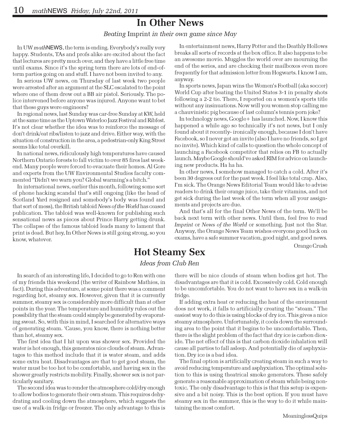## In Other News

Beating Imprint in their own game since May

In UW mathNEWS, the term is ending. Everybody's really very happy. Students, TAs and profs alike are excited about the fact that lectures are pretty much over, and they have a little free time until exams. Since it's the spring term there are lots of end-ofterm parties going on and stuff. I have not been invited to any.

In serious UW news, on Thursday of last week two people were arrested after an argument at the SLC escalated to the point where one of them drew out a BB air pistol. Seriously. The police intervened before anyone was injured. Anyone want to bet that these guys were engineers?

In regional news, last Sunday was car-free Sunday at KW, held at the same time as the Uptown Waterloo Jazz Festival and Ribfest. It's not clear whether the idea was to reinforce the message of don't drink/eat ribs/listen to jazz and drive. Either way, with the situation of construction in the area, a pedestrian-only King Street seems like total overkill.

In national news, ridiculously high temperatures have caused Northern Ontario forests to fall victim to over 85 fires last weekend. Many people were forced to evacuate their homes. Al Gore and experts from the UW Environmental Studies faculty commented "Didn't we warn you? Global warming's a bitch."

In international news, earlier this month, following some sort of phone hacking scandal that's still ongoing (like the head of Scotland Yard resigned and somebody's body was found and that sort of mess), the British tabloid News of the World has ceased publication. The tabloid was well-known for publishing such sensational news as pieces about Prince Harry getting drunk. The collapse of the famous tabloid leads many to lament that print is dead. But hey, In Other News is still going strong, so you know, whatever.

In entertainment news, Harry Potter and the Deathly Hollows breaks all sorts of records at the box office. It also happens to be an awesome movie. Muggles the world over are mourning the end of the series, and are checking their mailboxes even more frequently for that admission letter from Hogwarts. I know I am, anyway.

In sports news, Japan wins the Women's Football (aka soccer) World Cup after beating the United States 3-1 in penalty shots following a 2-2 tie. There, I reported on a women's sports title without any insinuations. Now will you women stop calling me a chauvinistic pig because of last column's tennis porn joke?

In technology news, Google+ has launched. Now, I know this happened a while ago so technically it's not news, but I only found about it recently- ironically enough, because I don't have Facebook, so I never got an invite (also I have no friends, so I got no invite). Which kind of calls to question the whole concept of launching a Facebook competitor that relies on FB to actually launch. Maybe Google should've asked RIM for advice on launching new products. Ha ha ha.

In other news, I somehow managed to catch a cold. After it's been 30 degrees out for the past week. I feel like total crap. Also, I'm sick. The Orange News Editorial Team would like to advise readers to drink their orange juice, take their vitamins, and not get sick during the last week of the term when all your assignments and projects are due.

And that's all for the final Other News of the term. We'll be back next term with other news. Until then, feel free to read Imprint or News of the World or something. Just not the Star. Anyway, the Orange News Team wishes everyone good luck on exams, have a safe summer vacation, good night, and good news.

Orange Crush

## Hot Steamy Sex

#### Ideas from Club Ren

In search of an interesting life, I decided to go to Ren with one of my friends this weekend (the writer of Rainbow Mathies, in fact). During this adventure, at some point there was a comment regarding hot, steamy sex. However, given that it is currently summer, steamy sex is considerably more difficult than at other points in the year. The temperature and humidity rules out the possibility that the steam could simply be generated by evaporating sweat. So, with this in mind, I searched for alternative ways of generating steam. 'Cause, you know, there is nothing better than hot, steamy sex.

The first idea that I hit upon was shower sex. Provided the water is hot enough, this generates nice clouds of steam. Advantages to this method include that it is water steam, and adds some extra heat. Disadvantages are that to get good steam, the water must be too hot to be comfortable, and having sex in the shower greatly restricts mobility. Finally, shower sex is not particularly sanitary.

The second idea was to render the atmosphere cold/dry enough to allow bodies to generate their own steam. This requires dehydrating and cooling down the atmosphere, which suggests the use of a walk-in fridge or freezer. The only advantage to this is

there will be nice clouds of steam when bodies get hot. The disadvantages are that it is cold. Excessively cold. Cold enough to be uncomfortable. You do not want to have sex in a walk-in fridge.

If adding extra heat or reducing the heat of the environment does not work, it falls to artificially creating the "steam." The easiest way to do this is using blocks of dry ice. This gives a nice steamy atmosphere. Unfortunately, it cools down the surrounding area to the point that it begins to be uncomfortable. Then, there is the slight problem of the fact that dry ice is carbon dioxide. The net effect of this is that carbon dioxide inhalation will cause all parties to fall asleep. And potentially die of asphyxiation. Dry ice is a bad idea.

The final option is artificially creating steam in such a way to avoid reducing temperature and asphyxiation. The optimal solution to this is using theatrical smoke generators. These safely generate a reasonable approximation of steam while being nontoxic. The only disadvantage to this is that this setup is expensive and a bit noisy. This is the best option. If you must have steamy sex in the summer, this is the way to do it while maintaining the most comfort.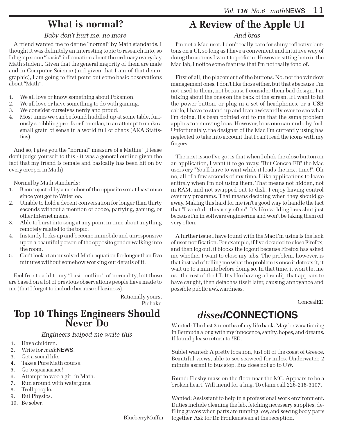# What is normal?

#### Baby don't hurt me, no more

A friend wanted me to define "normal" by Math standards. I thought it was definitely an interesting topic to research into, so I dug up some "basic" information about the ordinary everyday Math student. Given that the general majority of them are male and in Computer Science (and given that I am of that demographic), I am going to first point out some basic observations about "Math".

- 1. We all love or know something about Pokemon.
- 2. We all love or have something to do with gaming.
- 3. We consider ourselves nerdy and proud.
- 4. Most times we can be found huddled up at some table, furiously scribbling proofs or formulae, in an attempt to make a small grain of sense in a world full of chaos (AKA Statistics).

And so, I give you the "normal" measure of a Mathie! (Please don't judge yourself to this - it was a general outline given the fact that my friend is female and basically has been hit on by every creeper in Math)

Normal by Math standards:

- 1. Been rejected by a member of the opposite sex at least once since you got to Waterloo.
- 2. Unable to hold a decent conversation for longer than thirty seconds without a mention of booze, partying, gaming, or other Internet meme.
- 3. Able to burst into song at any point in time about anything remotely related to the topic.
- 4. Instantly locks up and become immobile and unresponsive upon a beautiful person of the opposite gender walking into the room.
- 5. Can't look at an unsolved Math equation for longer than five minutes without somehow working out details of it.

Feel free to add to my "basic outline" of normality, but these are based on a lot of previous observations people have made to me (that I forgot to include because of laziness).

> Rationally yours, Pichaku

### Top 10 Things Engineers Should Never Do

Engineers helped me write this

- 1. Have children.
- 2. Write for mathNEWS.
- 3. Get a social life.
- 4. Take a Pure Math course.
- 5. Go to spaaaaaace!
- 6. Attempt to woo a girl in Math.
- 7. Run around with waterguns.
- 8. Troll people.
- 9. Fail Physics.
- 10. Be sober.

#### BlueberryMuffin

# A Review of the Apple UI

#### And bras

I'm not a Mac user. I don't really care for shiny reflective buttons on a UI, so long as I have a convenient and intuitive way of doing the actions I want to perform. However, sitting here in the Mac lab, I notice some features that I'm not really fond of.

First of all, the placement of the buttons. No, not the window management ones. I don't like those either, but that's because I'm not used to them, not because I consider them bad design. I'm talking about the ones on the back of the screen. If I want to hit the power button, or plug in a set of headphones, or a USB cable, I have to stand up and lean awkwardly over to see what I'm doing. It's been pointed out to me that the same problem applies to removing bras. However, bras one can undo by feel. Unfortunately, the designer of the Mac I'm currently using has neglected to take into account that I can't read the icons with my fingers.

The next issue I've got is that when I click the close button on an application, I want it to go away. "But ConcealED" the Mac users cry "You'll have to wait while it loads the next time!". Oh no, all of a few seconds of my time. I like applications to leave entirely when I'm not using them. That means not hidden, not in RAM, and not swapped out to disk. I enjoy having control over my programs. That means deciding when they should go away. Making this hard for me isn't a good way to handle the fact that "I won't do this very often". It's like welding bras shut just because I'm in software engineering and won't be taking them off very often.

A further issue I have found with the Mac I'm using is the lack of user notification. For example, if I've decided to close Firefox, and then log out, it blocks the logout because Firefox has asked me whether I want to close my tabs. The problem, however, is that instead of telling me what the problem is once it detects it, it wait up to a minute before doing so. In that time, it won't let me use the rest of the UI. It's like having a bra clip that appears to have caught, then detaches itself later, causing annoyance and possible public awkwardness.

ConcealED

# dissed**CONNECTIONS**

Wanted: The last 3 months of my life back. May be vacationing in Bermuda along with my innocence, sanity, hopes, and dreams. If found please return to !ED.

Sublet wanted: A pretty location, just off of the coast of Greece. Beautiful views, able to see seaweed for miles. Underwater. 2 minute ascent to bus stop. Bus does not go to UW.

Found: Fleshy mass on the floor near the MC. Appears to be a broken heart. Will mend for a hug. To claim call 226-218-3107.

Wanted: Assisstant to help in a professional work environment. Duties include cleaning the lab, fetching necessary supplies, defiling graves when parts are running low, and sewing body parts together. Ask for Dr. Fronkensteen at the reception.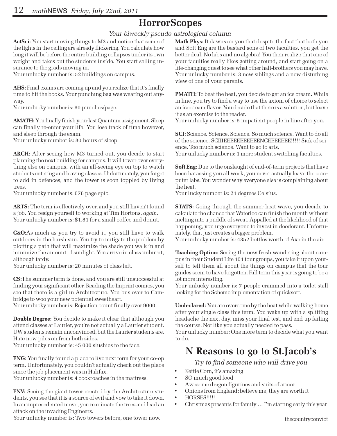# **HorrorScopes**

#### Your biweekly pseudo-astrological column

ActSci: You start moving things to M3 and notice that some of the lights in the ceiling are already flickering. You calculate how long it will be before the entire building collapses under its own weight and takes out the students inside. You start selling insurance to the grads moving in.

Your unlucky number is: 52 buildings on campus.

AHS: Final exams are coming up and you realize that it's finally time to hit the books. Your punching bag was wearing out anyway.

Your unlucky number is: 60 punches/page.

**AMATH:** You finally finish your last Quantum assignment. Sleep can finally re-enter your life! You lose track of time however, and sleep through the exam.

Your unlucky number is: 80 hours of sleep.

ARCH: After seeing how M3 turned out, you decide to start planning the next building for campus. It will tower over everything else on campus, with an all-seeing eye on top to watch students entering and leaving classes. Unfortunately, you forget to add in defences, and the tower is soon toppled by living trees.

Your unlucky number is: 676 page epic.

ARTS: The term is effectively over, and you still haven't found a job. You resign yourself to working at Tim Hortons, again. Your unlucky number is: \$1.81 for a small coffee and donut.

C&O:As much as you try to avoid it, you still have to walk outdoors in the harsh sun. You try to mitigate the problem by plotting a path that will maximize the shade you walk in and minimize the amount of sunlight. You arrive in class unburnt, although tardy.

Your unlucky number is: 20 minutes of class left.

CS:The summer term is done, and you are still unsuccessful at finding your significant other. Reading the Imprint comics, you see that there is a girl in Architecture. You bus over to Cambridge to woo your new potential sweetheart.

Your unlucky number is: Rejection count finally over 9000.

Double Degree: You decide to make it clear that although you attend classes at Laurier, you're not actually a Laurier student. UW students remain unconvinced, but the Laurier students are. Hate now piles on from both sides.

Your unlucky number is: 45 000 slushies to the face.

ENG: You finally found a place to live next term for your co-op term. Unfortunately, you couldn't actually check out the place since the job placement was in Halifax.

Your unlucky number is: 4 cockroaches in the mattress.

ENV: Seeing the giant tower erected by the Architecture students, you see that it is a source of evil and vow to take it down. In an unprecedented move, you reanimate the trees and lead an attack on the invading Engineers.

Your unlucky number is: Two towers before, one tower now.

Math Phys: It dawns on you that despite the fact that both you and Soft Eng are the bastard sons of two faculties, you get the better deal. No labs and no algebra! You then realize that one of your faculties really likes getting around, and start going on a life-changing quest to see what other half-brothers you may have. Your unlucky number is: 3 new siblings and a new disturbing view of one of your parents.

PMATH: To beat the heat, you decide to get an ice cream. While in line, you try to find a way to use the axiom of choice to select an ice cream flavor. You decide that there is a solution, but leave it as an exercise to the reader.

Your unlucky number is: 5 impatient people in line after you.

SCI: Science. Science. Science. So much science. Want to do all of the science. SCIIIEEEEEEEEEEENCEEEEEEE!!!!! Sick of science. Too much science. Want to go to arts.

Your unlucky number is: 1 more student switching faculties.

Soft Eng: Due to the onslaught of end-of-term projects that have been harassing you all week, you never actually leave the computer labs. You wonder why everyone else is complaining about the heat.

Your lucky number is: 21 degrees Celsius.

**STATS:** Going through the summer heat wave, you decide to calculate the chance that Waterloo can finish the month without melting into a puddle of sweat. Appalled at the likelihood of that happening, you urge everyone to invest in deoderant. Unfortunately, that just creates a bigger problem.

Your unlucky number is: 4352 bottles worth of Axe in the air.

**Teaching Option:** Seeing the new frosh wandering about campus in their Student Life 101 tour groups, you take it upon yourself to tell them all about the things on campus that the tour guides seem to have forgotten. Fall term this year is going to be a lot more interesting.

Your unlucky number is: 7 people crammed into a toilet stall looking for the Scheme implementation of quicksort.

Undeclared: You are overcome by the heat while walking home after your single class this term. You wake up with a splitting headache the next day, miss your final test, and end up failing the course. Not like you actually needed to pass.

Your unlucky number: One more term to decide what you want to do.

# N Reasons to go to St.Jacob's

Try to find someone who will drive you

- Kettle Corn, it's amazing
- SO much good food
- Awesome dragon figurines and suits of armor
- Onions from England; believe me, they are worth it
- HORSES!!!!!
- Christmas presents for family … I'm starting early this year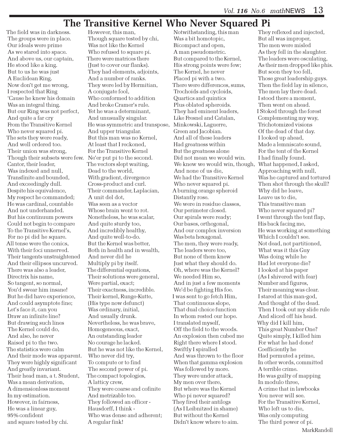## The Transitive Kernel Who Never Squared Pi

The field was in darkness. The groups were in place. Our ideals were prime As we stared into space. And above us, our captain, He stood like a king. But to us he was just A Euclidean Ring. Now don't get me wrong, I respected that Ring 'Cause he knew his domain Was an integral thing. But our Ring was not perfect, And quite a far cry From the Transitive Kernel Who never squared pi. The sets they were ready, And well ordered too. Their union was strong, Though their subsets were few. Ne'er put pi to the second. Cantor, their leader, Was indexed and null, Transfinite and bounded, And exceedingly dull. Despite his equivalence, My respect he commanded; He was cardinal, countable And not underhanded. But his continuum powers Could not begin to compare To the Transitive Kernel's, For no pi did he square. All tense were the conics, With their foci unnerved. Their tangents unstraightened And their ellipses uncurved. There was also a leader, Directrix his name, So tangent, so normal, You'd swear him insane! But he did have experience, And could asymptote fine; Let's face it, can you Draw an infinite line? But drawing such lines The Kernel could do, And also, he never Raised pi to the two. The statistics were calm And their mode was apparent. They were highly significant And greatly invariant. Their head man, a t. Student, Was a mean derivation, A dimensionless moment In my estimation. However, in fairness, He was a linear guy, 95% confident and square tested by chi.

 However, this man, Though square tested by chi, Was not like the Kernel Who refused to square pi. There were matrices there (Just to cover our flanks). They had elements, adjoints, And a number of ranks. They were led by Hermitian, A conjugate fool, Who conformed to addition And broke Cramer's rule. Yet he was a determinant, And unusually singular. He was symmetric and transpose, And upper triangular. But this man was no Kernel, At least that I reckoned, For the Transitive Kernel The vectors slept waiting, Dead to the world, With gradient, divergence Cross-product and curl. Their commander, Laplacian, A unit del dot, Was seen as a vector Whose brain went to rot. Nonetheless, he was scalar, And quite sturdy too, And incredibly healthy, And quite well-to-do. But the Kernel was better, Both in health and in wealth, And never did he Multiply pi by itself. The differential equations, Their solutions were general, Were partial, exact; Their exactness, incredible. Their kernel, Runge-Kutte, (His type now defunct) Was ordinary, initial, And usually drunk. Nevertheless, he was brave, Homogeneous, exact, An outstanding leader No courage he lacked. But he was not like the Kernel, Who never did try, To compute or to find The second power of pi. The compact topologies, A latticy crew, They were coarse and cofinite And metrizable too. They followed an officer - Hausdorff, I think - Who was dense and adherent; A regular fink!

 Notwithstanding, this man Was a bit homotopic, Bicompact and open, A man pseudometric. But compared to the Kernel, His strong points were few; The Kernel, he never Placed pi with a two. There were differences, sums, Trochoids and cycloids, Quartics and quintics Plus oblated spheroids. They had eminent leaders, Like Fresnel and Catalan, Minkowski, Laguerre, Green and Jacobian. And all of these leaders Had greatness within But the greatness alone Did not mean we would win. We knew we would win, though, What happened, I asked, And none of us die, We had the Transitive Kernel Who never squared pi. A burning orange spheroid Distantly rose. We were in residue classes, Our perimeter closed. Our spirals were ready; Our bases, orthogonal, And our complex inversion Was beta hexagonal. The men, they were ready, The leaders were too, But none of them knew Just what they should do. Oh, where was the Kernel? We needed Him so, And in just a few moments We'd be fighting His foe. I was sent to go fetch Him, That continuous slope, That dual choice function In whom rested our hope. I translated myself, Off the field to the woods. An explosion then cubed me Right there where I stood. Swiftly I spiralled And was thrown to the floor When that gamma explosion Was followed by more. They were under attack, My men over there, But where was the Kernel Who pi never squared? They fired their antilogs (As I Leibnitzed in shame) But without the Kernel Didn't know where to aim.

 They reflexed and injected, But all was improper, The men were misled As they fell in the slaughter. The leaders were osculating, As their men dropped like phis. But soon they too fell, Those great leadership guys. Then the field lay in silence, The men lay there dead. I stood there a moment, Then went on ahead. I Stoked through the forest Complementing my way, Trichotomized visions Of the dead of that day. I looked up ahead, Made a lemniscate sound, For the tent of the Kernel I had finally found. Approaching with null, Was he captured and tortured Then shot through the skull? Why did he leave, Leave us to die, This transitive man Who never squared pi? I went through the tent flap, His back facing me, He was working at something Which I couldn't see. Not dead, not partitioned, What was it this Guy Was doing while he Had let everyone die? I looked at his paper (As I shivered with fear) Number and figures, Their meaning was clear. I stared at this man-god, And thought of the dead. Then I took out my slide rule And sliced off his head. Why did I kill him, This great Number One? Quite simply, I killed him For what he had done! Coefficiently he Had permuted a prime, In other words, committed A terrible crime. He was guilty of mapping In modulo three, A crime that in lawbooks You never will see. For the Transitive Kernel, Who left us to die, Was only computing The third power of pi. MarkRandell